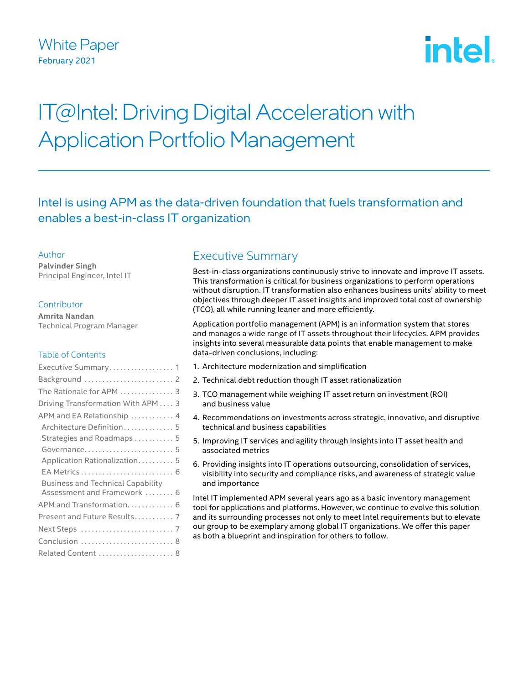## White Paper February 2021

# **intel**

## IT@Intel: Driving Digital Acceleration with Application Portfolio Management

Intel is using APM as the data-driven foundation that fuels transformation and enables a best-in-class IT organization

#### Author

**Palvinder Singh** Principal Engineer, Intel IT

#### **Contributor**

**Amrita Nandan**  Technical Program Manager

#### Table of Contents

| Executive Summary 1                      |
|------------------------------------------|
|                                          |
| The Rationale for APM  3                 |
| Driving Transformation With APM 3        |
| APM and EA Relationship  4               |
| Architecture Definition 5                |
| Strategies and Roadmaps  5               |
|                                          |
| Application Rationalization 5            |
|                                          |
| <b>Business and Technical Capability</b> |
| Assessment and Framework  6              |
| APM and Transformation 6                 |
| Present and Future Results 7             |
|                                          |
| Conclusion  8                            |
| Related Content  8                       |

## Executive Summary

Best-in-class organizations continuously strive to innovate and improve IT assets. This transformation is critical for business organizations to perform operations without disruption. IT transformation also enhances business units' ability to meet objectives through deeper IT asset insights and improved total cost of ownership (TCO), all while running leaner and more efficiently.

Application portfolio management (APM) is an information system that stores and manages a wide range of IT assets throughout their lifecycles. APM provides insights into several measurable data points that enable management to make data-driven conclusions, including:

- 1. Architecture modernization and simplification
- 2. Technical debt reduction though IT asset rationalization
- 3. TCO management while weighing IT asset return on investment (ROI) and business value
- 4. Recommendations on investments across strategic, innovative, and disruptive technical and business capabilities
- 5. Improving IT services and agility through insights into IT asset health and associated metrics
- 6. Providing insights into IT operations outsourcing, consolidation of services, visibility into security and compliance risks, and awareness of strategic value and importance

Intel IT implemented APM several years ago as a basic inventory management tool for applications and platforms. However, we continue to evolve this solution and its surrounding processes not only to meet Intel requirements but to elevate our group to be exemplary among global IT organizations. We offer this paper as both a blueprint and inspiration for others to follow.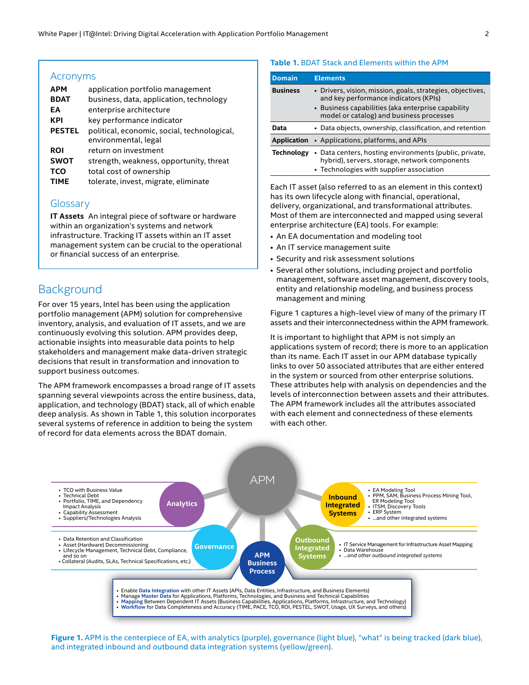#### <span id="page-1-0"></span>Acronyms

| <b>APM</b>    | application portfolio management            |  |  |
|---------------|---------------------------------------------|--|--|
| <b>BDAT</b>   | business, data, application, technology     |  |  |
| ΕA            | enterprise architecture                     |  |  |
| KPI           | key performance indicator                   |  |  |
| <b>PESTEL</b> | political, economic, social, technological, |  |  |
|               | environmental, legal                        |  |  |
| <b>ROI</b>    | return on investment                        |  |  |
| <b>SWOT</b>   | strength, weakness, opportunity, threat     |  |  |
| TCO           | total cost of ownership                     |  |  |
| <b>TIME</b>   | tolerate, invest, migrate, eliminate        |  |  |
|               |                                             |  |  |

#### **Glossary**

**IT Assets** An integral piece of software or hardware within an organization's systems and network infrastructure. Tracking IT assets within an IT asset management system can be crucial to the operational or financial success of an enterprise.

## **Background**

For over 15 years, Intel has been using the application portfolio management (APM) solution for comprehensive inventory, analysis, and evaluation of IT assets, and we are continuously evolving this solution. APM provides deep, actionable insights into measurable data points to help stakeholders and management make data-driven strategic decisions that result in transformation and innovation to support business outcomes.

The APM framework encompasses a broad range of IT assets spanning several viewpoints across the entire business, data, application, and technology (BDAT) stack, all of which enable deep analysis. As shown in Table 1, this solution incorporates several systems of reference in addition to being the system of record for data elements across the BDAT domain.

#### **Table 1.** BDAT Stack and Elements within the APM

| <b>Domain</b>     | <b>Elements</b>                                                                                                                                     |
|-------------------|-----------------------------------------------------------------------------------------------------------------------------------------------------|
| <b>Business</b>   | • Drivers, vision, mission, goals, strategies, objectives,<br>and key performance indicators (KPIs)                                                 |
|                   | • Business capabilities (aka enterprise capability<br>model or catalog) and business processes                                                      |
| Data              | • Data objects, ownership, classification, and retention                                                                                            |
| Application       | • Applications, platforms, and APIs                                                                                                                 |
| <b>Technology</b> | • Data centers, hosting environments (public, private,<br>hybrid), servers, storage, network components<br>• Technologies with supplier association |

Each IT asset (also referred to as an element in this context) has its own lifecycle along with financial, operational, delivery, organizational, and transformational attributes. Most of them are interconnected and mapped using several enterprise architecture (EA) tools. For example:

- An EA documentation and modeling tool
- An IT service management suite
- Security and risk assessment solutions
- Several other solutions, including project and portfolio management, software asset management, discovery tools, entity and relationship modeling, and business process management and mining

Figure 1 captures a high-level view of many of the primary IT assets and their interconnectedness within the APM framework.

It is important to highlight that APM is not simply an applications system of record; there is more to an application than its name. Each IT asset in our APM database typically links to over 50 associated attributes that are either entered in the system or sourced from other enterprise solutions. These attributes help with analysis on dependencies and the levels of interconnection between assets and their attributes. The APM framework includes all the attributes associated with each element and connectedness of these elements with each other.



**Figure 1.** APM is the centerpiece of EA, with analytics (purple), governance (light blue), "what" is being tracked (dark blue), and integrated inbound and outbound data integration systems (yellow/green).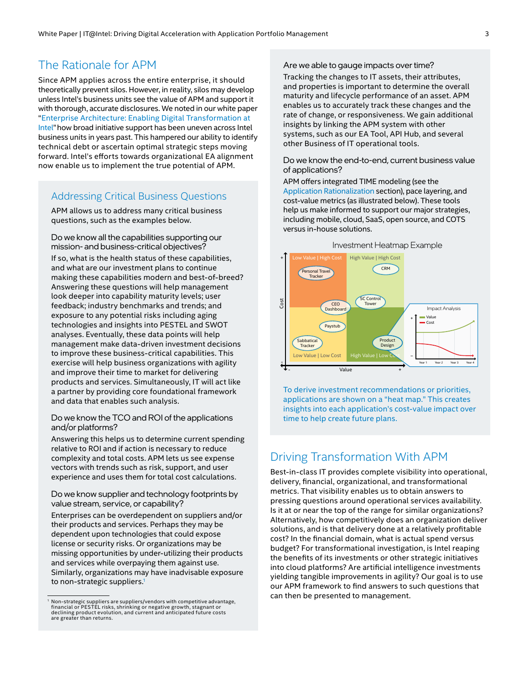## <span id="page-2-0"></span>The Rationale for APM

Since APM applies across the entire enterprise, it should theoretically prevent silos. However, in reality, silos may develop unless Intel's business units see the value of APM and support it with thorough, accurate disclosures. We noted in our white paper "[Enterprise Architecture: Enabling Digital Transformation at](https://www.intel.com/content/www/us/en/it-management/intel-it-best-practices/enterprise-architecture-transformation-paper.html)  [Intel"](https://www.intel.com/content/www/us/en/it-management/intel-it-best-practices/enterprise-architecture-transformation-paper.html) how broad initiative support has been uneven across Intel business units in years past. This hampered our ability to identify technical debt or ascertain optimal strategic steps moving forward. Intel's efforts towards organizational EA alignment now enable us to implement the true potential of APM.

#### Addressing Critical Business Questions

APM allows us to address many critical business questions, such as the examples below.

Do we know all the capabilities supporting our mission‑ and business-critical objectives? If so, what is the health status of these capabilities, and what are our investment plans to continue making these capabilities modern and best-of-breed? Answering these questions will help management look deeper into capability maturity levels; user feedback; industry benchmarks and trends; and exposure to any potential risks including aging technologies and insights into PESTEL and SWOT analyses. Eventually, these data points will help management make data-driven investment decisions to improve these business-critical capabilities. This exercise will help business organizations with agility and improve their time to market for delivering products and services. Simultaneously, IT will act like a partner by providing core foundational framework and data that enables such analysis.

#### Do we know the TCO and ROI of the applications and/or platforms?

Answering this helps us to determine current spending relative to ROI and if action is necessary to reduce complexity and total costs. APM lets us see expense vectors with trends such as risk, support, and user experience and uses them for total cost calculations.

#### Do we know supplier and technology footprints by value stream, service, or capability?

Enterprises can be overdependent on suppliers and/or their products and services. Perhaps they may be dependent upon technologies that could expose license or security risks. Or organizations may be missing opportunities by under-utilizing their products and services while overpaying them against use. Similarly, organizations may have inadvisable exposure to non-strategic suppliers.<sup>1</sup>

#### Are we able to gauge impacts over time?

Tracking the changes to IT assets, their attributes, and properties is important to determine the overall maturity and lifecycle performance of an asset. APM enables us to accurately track these changes and the rate of change, or responsiveness. We gain additional insights by linking the APM system with other systems, such as our EA Tool, API Hub, and several other Business of IT operational tools.

Do we know the end-to-end, current business value of applications?

APM offers integrated TIME modeling (see the [Application Rationalization](#page-4-1) section), pace layering, and cost-value metrics (as illustrated below). These tools help us make informed to support our major strategies, including mobile, cloud, SaaS, open source, and COTS versus in-house solutions.



To derive investment recommendations or priorities, applications are shown on a "heat map." This creates insights into each application's cost-value impact over time to help create future plans.

## Driving Transformation With APM

Best-in-class IT provides complete visibility into operational, delivery, financial, organizational, and transformational metrics. That visibility enables us to obtain answers to pressing questions around operational services availability. Is it at or near the top of the range for similar organizations? Alternatively, how competitively does an organization deliver solutions, and is that delivery done at a relatively profitable cost? In the financial domain, what is actual spend versus budget? For transformational investigation, is Intel reaping the benefits of its investments or other strategic initiatives into cloud platforms? Are artificial intelligence investments yielding tangible improvements in agility? Our goal is to use our APM framework to find answers to such questions that can then be presented to management.

Non-strategic suppliers are suppliers/vendors with competitive advantage, financial or PESTEL risks, shrinking or negative growth, stagnant or declining product evolution, and current and anticipated future costs are greater than returns.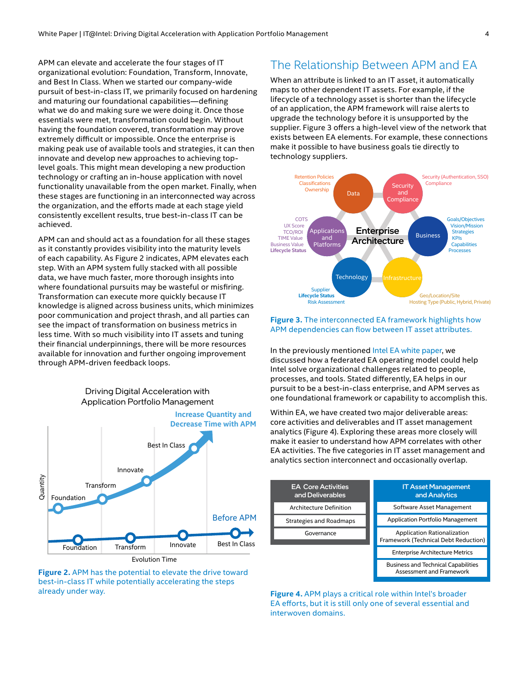<span id="page-3-0"></span>APM can elevate and accelerate the four stages of IT organizational evolution: Foundation, Transform, Innovate, and Best In Class. When we started our company-wide pursuit of best-in-class IT, we primarily focused on hardening and maturing our foundational capabilities—defining what we do and making sure we were doing it. Once those essentials were met, transformation could begin. Without having the foundation covered, transformation may prove extremely difficult or impossible. Once the enterprise is making peak use of available tools and strategies, it can then innovate and develop new approaches to achieving toplevel goals. This might mean developing a new production technology or crafting an in-house application with novel functionality unavailable from the open market. Finally, when these stages are functioning in an interconnected way across the organization, and the efforts made at each stage yield consistently excellent results, true best-in-class IT can be achieved.

APM can and should act as a foundation for all these stages as it constantly provides visibility into the maturity levels of each capability. As Figure 2 indicates, APM elevates each step. With an APM system fully stacked with all possible data, we have much faster, more thorough insights into where foundational pursuits may be wasteful or misfiring. Transformation can execute more quickly because IT knowledge is aligned across business units, which minimizes poor communication and project thrash, and all parties can see the impact of transformation on business metrics in less time. With so much visibility into IT assets and tuning their financial underpinnings, there will be more resources available for innovation and further ongoing improvement through APM-driven feedback loops.

#### Driving Digital Acceleration with Application Portfolio Management



**Figure 2.** APM has the potential to elevate the drive toward best-in-class IT while potentially accelerating the steps already under way.

## The Relationship Between APM and EA

When an attribute is linked to an IT asset, it automatically maps to other dependent IT assets. For example, if the lifecycle of a technology asset is shorter than the lifecycle of an application, the APM framework will raise alerts to upgrade the technology before it is unsupported by the supplier. Figure 3 offers a high-level view of the network that exists between EA elements. For example, these connections make it possible to have business goals tie directly to technology suppliers.



#### **Figure 3.** The interconnected EA framework highlights how APM dependencies can flow between IT asset attributes.

In the previously mentioned [Intel EA white paper,](https://www.intel.com/content/www/us/en/it-management/intel-it-best-practices/enterprise-architecture-transformation-paper.html) we discussed how a federated EA operating model could help Intel solve organizational challenges related to people, processes, and tools. Stated differently, EA helps in our pursuit to be a best-in-class enterprise, and APM serves as one foundational framework or capability to accomplish this.

Within EA, we have created two major deliverable areas: core activities and deliverables and IT asset management analytics (Figure 4). Exploring these areas more closely will make it easier to understand how APM correlates with other EA activities. The five categories in IT asset management and analytics section interconnect and occasionally overlap.



**Figure 4.** APM plays a critical role within Intel's broader EA efforts, but it is still only one of several essential and interwoven domains.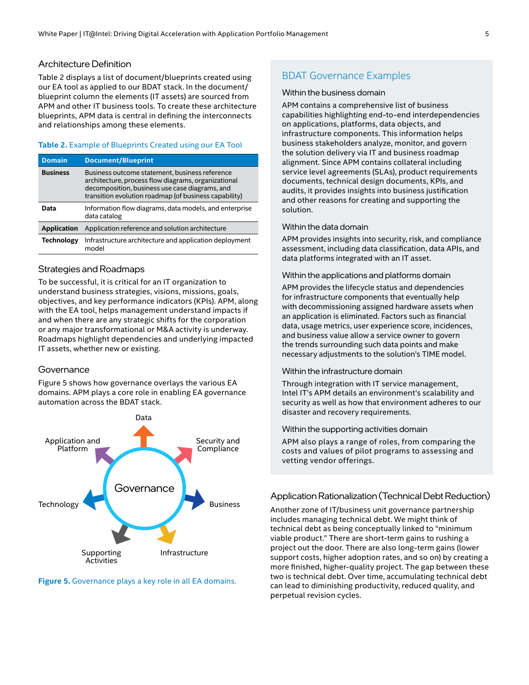#### <span id="page-4-0"></span>Architecture Definition

Table 2 displays a list of document/blueprints created using our EA tool as applied to our BDAT stack. In the document/ blueprint column the elements (IT assets) are sourced from APM and other IT business tools. To create these architecture blueprints, APM data is central in defining the interconnects and relationships among these elements.

#### **Table 2.** Example of Blueprints Created using our EA Tool

| <b>Domain</b>      | <b>Document/Blueprint</b>                                                                                                                                                                                        |
|--------------------|------------------------------------------------------------------------------------------------------------------------------------------------------------------------------------------------------------------|
| <b>Business</b>    | Business outcome statement, business reference<br>architecture, process flow diagrams, organizational<br>decomposition, business use case diagrams, and<br>transition evolution roadmap (of business capability) |
| Data               | Information flow diagrams, data models, and enterprise<br>data catalog                                                                                                                                           |
| <b>Application</b> | Application reference and solution architecture                                                                                                                                                                  |
| <b>Technology</b>  | Infrastructure architecture and application deployment<br>model                                                                                                                                                  |

#### Strategies and Roadmaps

To be successful, it is critical for an IT organization to understand business strategies, visions, missions, goals, objectives, and key performance indicators (KPIs). APM, along with the EA tool, helps management understand impacts if and when there are any strategic shifts for the corporation or any major transformational or M&A activity is underway. Roadmaps highlight dependencies and underlying impacted IT assets, whether new or existing.

#### **Governance**

Figure 5 shows how governance overlays the various EA domains. APM plays a core role in enabling EA governance automation across the BDAT stack.



**Figure 5.** Governance plays a key role in all EA domains.

#### BDAT Governance Examples

#### Within the business domain

APM contains a comprehensive list of business capabilities highlighting end-to-end interdependencies on applications, platforms, data objects, and infrastructure components. This information helps business stakeholders analyze, monitor, and govern the solution delivery via IT and business roadmap alignment. Since APM contains collateral including service level agreements (SLAs), product requirements documents, technical design documents, KPIs, and audits, it provides insights into business justification and other reasons for creating and supporting the solution.

#### Within the data domain

APM provides insights into security, risk, and compliance assessment, including data classification, data APIs, and data platforms integrated with an IT asset.

#### Within the applications and platforms domain

APM provides the lifecycle status and dependencies for infrastructure components that eventually help with decommissioning assigned hardware assets when an application is eliminated. Factors such as financial data, usage metrics, user experience score, incidences, and business value allow a service owner to govern the trends surrounding such data points and make necessary adjustments to the solution's TIME model.

#### Within the infrastructure domain

Through integration with IT service management, Intel IT's APM details an environment's scalability and security as well as how that environment adheres to our disaster and recovery requirements.

#### Within the supporting activities domain

APM also plays a range of roles, from comparing the costs and values of pilot programs to assessing and vetting vendor offerings.

#### <span id="page-4-1"></span>Application Rationalization (Technical Debt Reduction)

Another zone of IT/business unit governance partnership includes managing technical debt. We might think of technical debt as being conceptually linked to "minimum viable product." There are short-term gains to rushing a project out the door. There are also long-term gains (lower support costs, higher adoption rates, and so on) by creating a more finished, higher-quality project. The gap between these two is technical debt. Over time, accumulating technical debt can lead to diminishing productivity, reduced quality, and perpetual revision cycles.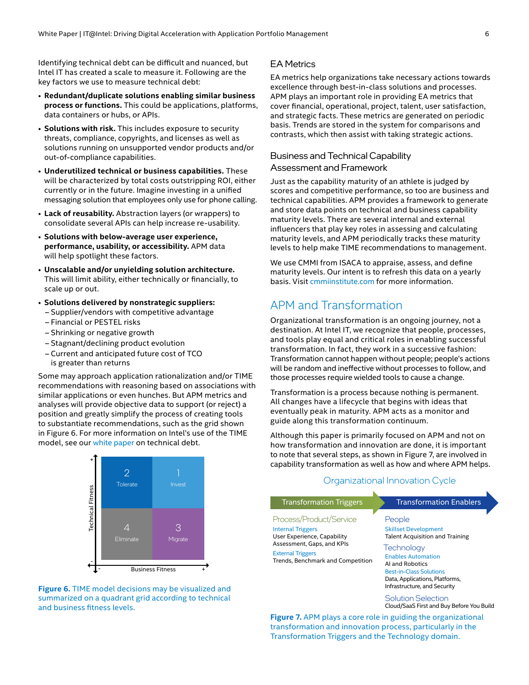<span id="page-5-0"></span>Identifying technical debt can be difficult and nuanced, but Intel IT has created a scale to measure it. Following are the key factors we use to measure technical debt:

- **Redundant/duplicate solutions enabling similar business process or functions.** This could be applications, platforms, data containers or hubs, or APIs.
- **Solutions with risk.** This includes exposure to security threats, compliance, copyrights, and licenses as well as solutions running on unsupported vendor products and/or out-of-compliance capabilities.
- **Underutilized technical or business capabilities.** These will be characterized by total costs outstripping ROI, either currently or in the future. Imagine investing in a unified messaging solution that employees only use for phone calling.
- **Lack of reusability.** Abstraction layers (or wrappers) to consolidate several APIs can help increase re-usability.
- **Solutions with below-average user experience, performance, usability, or accessibility.** APM data will help spotlight these factors.
- **Unscalable and/or unyielding solution architecture.**  This will limit ability, either technically or financially, to scale up or out.
- **Solutions delivered by nonstrategic suppliers:**  – Supplier/vendors with competitive advantage
	- Financial or PESTEL risks
	- Shrinking or negative growth
	- Stagnant/declining product evolution
	- Current and anticipated future cost of TCO is greater than returns

Some may approach application rationalization and/or TIME recommendations with reasoning based on associations with similar applications or even hunches. But APM metrics and analyses will provide objective data to support (or reject) a position and greatly simplify the process of creating tools to substantiate recommendations, such as the grid shown in Figure 6. For more information on Intel's use of the TIME model, see our [white paper](https://www.intel.com/content/www/us/en/it-management/intel-it-best-practices/enterprise-architecture-transformation-paper.html) on technical debt.



**Figure 6.** TIME model decisions may be visualized and summarized on a quadrant grid according to technical and business fitness levels.

#### EA Metrics

EA metrics help organizations take necessary actions towards excellence through best-in-class solutions and processes. APM plays an important role in providing EA metrics that cover financial, operational, project, talent, user satisfaction, and strategic facts. These metrics are generated on periodic basis. Trends are stored in the system for comparisons and contrasts, which then assist with taking strategic actions.

#### Business and Technical Capability

#### Assessment and Framework

Just as the capability maturity of an athlete is judged by scores and competitive performance, so too are business and technical capabilities. APM provides a framework to generate and store data points on technical and business capability maturity levels. There are several internal and external influencers that play key roles in assessing and calculating maturity levels, and APM periodically tracks these maturity levels to help make TIME recommendations to management.

We use CMMI from ISACA to appraise, assess, and define maturity levels. Our intent is to refresh this data on a yearly basis. Visit [cmmiinstitute.com](https://cmmiinstitute.com/) for more information.

## APM and Transformation

Organizational transformation is an ongoing journey, not a destination. At Intel IT, we recognize that people, processes, and tools play equal and critical roles in enabling successful transformation. In fact, they work in a successive fashion: Transformation cannot happen without people; people's actions will be random and ineffective without processes to follow, and those processes require wielded tools to cause a change.

Transformation is a process because nothing is permanent. All changes have a lifecycle that begins with ideas that eventually peak in maturity. APM acts as a monitor and guide along this transformation continuum.

Although this paper is primarily focused on APM and not on how transformation and innovation are done, it is important to note that several steps, as shown in Figure 7, are involved in capability transformation as well as how and where APM helps.

| <b>Transformation Triggers</b>                                                                                                                                                    | <b>Transformation Enablers</b>                                                                                                                                                                                                                           |
|-----------------------------------------------------------------------------------------------------------------------------------------------------------------------------------|----------------------------------------------------------------------------------------------------------------------------------------------------------------------------------------------------------------------------------------------------------|
| Process/Product/Service<br><b>Internal Triggers</b><br>User Experience, Capability<br>Assessment, Gaps, and KPIs<br><b>External Triggers</b><br>Trends, Benchmark and Competition | People<br><b>Skillset Development</b><br><b>Talent Acquisition and Training</b><br><b>Technology</b><br><b>Enables Automation</b><br>AI and Robotics<br><b>Best-in-Class Solutions</b><br>Data, Applications, Platforms,<br>Infrastructure, and Security |
|                                                                                                                                                                                   | Solution Selection                                                                                                                                                                                                                                       |

Organizational Innovation Cycle

Cloud/SaaS First and Buy Before You Build

**Figure 7.** APM plays a core role in guiding the organizational transformation and innovation process, particularly in the Transformation Triggers and the Technology domain.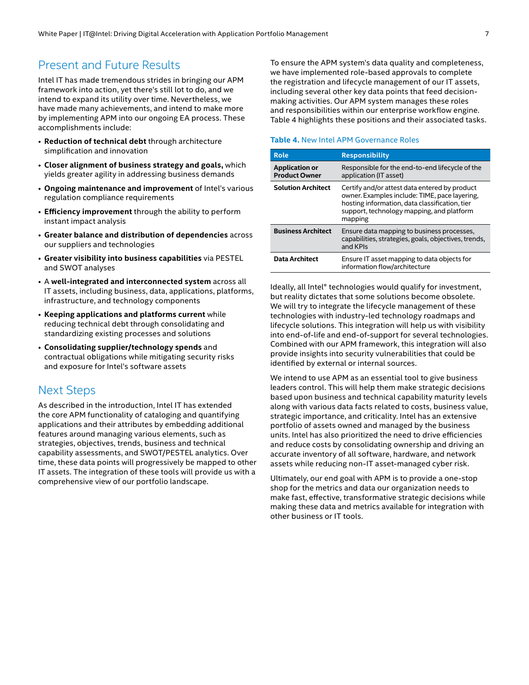## <span id="page-6-0"></span>Present and Future Results

Intel IT has made tremendous strides in bringing our APM framework into action, yet there's still lot to do, and we intend to expand its utility over time. Nevertheless, we have made many achievements, and intend to make more by implementing APM into our ongoing EA process. These accomplishments include:

- **Reduction of technical debt** through architecture simplification and innovation
- **Closer alignment of business strategy and goals,** which yields greater agility in addressing business demands
- **Ongoing maintenance and improvement** of Intel's various regulation compliance requirements
- **Efficiency improvement** through the ability to perform instant impact analysis
- **Greater balance and distribution of dependencies** across our suppliers and technologies
- **Greater visibility into business capabilities** via PESTEL and SWOT analyses
- A **well-integrated and interconnected system** across all IT assets, including business, data, applications, platforms, infrastructure, and technology components
- **Keeping applications and platforms current** while reducing technical debt through consolidating and standardizing existing processes and solutions
- **Consolidating supplier/technology spends** and contractual obligations while mitigating security risks and exposure for Intel's software assets

## Next Steps

As described in the introduction, Intel IT has extended the core APM functionality of cataloging and quantifying applications and their attributes by embedding additional features around managing various elements, such as strategies, objectives, trends, business and technical capability assessments, and SWOT/PESTEL analytics. Over time, these data points will progressively be mapped to other IT assets. The integration of these tools will provide us with a comprehensive view of our portfolio landscape.

To ensure the APM system's data quality and completeness, we have implemented role-based approvals to complete the registration and lifecycle management of our IT assets, including several other key data points that feed decisionmaking activities. Our APM system manages these roles and responsibilities within our enterprise workflow engine. Table 4 highlights these positions and their associated tasks.

#### **Table 4.** New Intel APM Governance Roles

| Role                                          | <b>Responsibility</b>                                                                                                                                                                                    |
|-----------------------------------------------|----------------------------------------------------------------------------------------------------------------------------------------------------------------------------------------------------------|
| <b>Application or</b><br><b>Product Owner</b> | Responsible for the end-to-end lifecycle of the<br>application (IT asset)                                                                                                                                |
| <b>Solution Architect</b>                     | Certify and/or attest data entered by product<br>owner. Examples include: TIME, pace layering,<br>hosting information, data classification, tier<br>support, technology mapping, and platform<br>mapping |
| <b>Business Architect</b>                     | Ensure data mapping to business processes,<br>capabilities, strategies, goals, objectives, trends,<br>and KPIs                                                                                           |
| <b>Data Architect</b>                         | Ensure IT asset mapping to data objects for<br>information flow/architecture                                                                                                                             |

Ideally, all Intel® technologies would qualify for investment, but reality dictates that some solutions become obsolete. We will try to integrate the lifecycle management of these technologies with industry-led technology roadmaps and lifecycle solutions. This integration will help us with visibility into end-of-life and end-of-support for several technologies. Combined with our APM framework, this integration will also provide insights into security vulnerabilities that could be identified by external or internal sources.

We intend to use APM as an essential tool to give business leaders control. This will help them make strategic decisions based upon business and technical capability maturity levels along with various data facts related to costs, business value, strategic importance, and criticality. Intel has an extensive portfolio of assets owned and managed by the business units. Intel has also prioritized the need to drive efficiencies and reduce costs by consolidating ownership and driving an accurate inventory of all software, hardware, and network assets while reducing non-IT asset-managed cyber risk.

Ultimately, our end goal with APM is to provide a one-stop shop for the metrics and data our organization needs to make fast, effective, transformative strategic decisions while making these data and metrics available for integration with other business or IT tools.